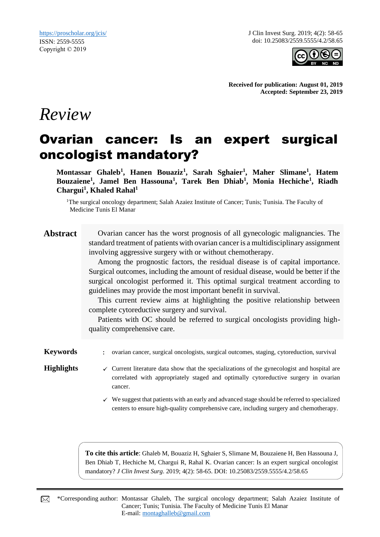J Clin Invest Surg. 2019; 4(2): 58-65 doi: 10.25083/2559.5555/4.2/58.65



**Received for publication: August 01, 2019 Accepted: September 23, 2019**

# *Review*

## Ovarian cancer: Is an expert surgical oncologist mandatory?

**Montassar Ghaleb<sup>1</sup> , Hanen Bouaziz<sup>1</sup> , Sarah Sghaier<sup>1</sup> , Maher Slimane<sup>1</sup> , Hatem Bouzaiene<sup>1</sup> , Jamel Ben Hassouna<sup>1</sup> , Tarek Ben Dhiab<sup>1</sup> , Monia Hechiche<sup>1</sup> , Riadh Chargui<sup>1</sup> , Khaled Rahal<sup>1</sup>**

<sup>1</sup>The surgical oncology department; Salah Azaiez Institute of Cancer; Tunis; Tunisia. The Faculty of Medicine Tunis El Manar

| <b>Abstract</b> |  |
|-----------------|--|
|                 |  |

**Abstract** Ovarian cancer has the worst prognosis of all gynecologic malignancies. The standard treatment of patients with ovarian cancer is a multidisciplinary assignment involving aggressive surgery with or without chemotherapy.

Among the prognostic factors, the residual disease is of capital importance. Surgical outcomes, including the amount of residual disease, would be better if the surgical oncologist performed it. This optimal surgical treatment according to guidelines may provide the most important benefit in survival.

This current review aims at highlighting the positive relationship between complete cytoreductive surgery and survival.

Patients with OC should be referred to surgical oncologists providing highquality comprehensive care.

**Keywords** : ovarian cancer, surgical oncologists, surgical outcomes, staging, cytoreduction, survival

- Highlights **v** Current literature data show that the specializations of the gynecologist and hospital are correlated with appropriately staged and optimally cytoreductive surgery in ovarian cancer.
	- $\checkmark$  We suggest that patients with an early and advanced stage should be referred to specialized centers to ensure high-quality comprehensive care, including surgery and chemotherapy.

**To cite this article**: Ghaleb M, Bouaziz H, Sghaier S, Slimane M, Bouzaiene H, Ben Hassouna J, Ben Dhiab T, Hechiche M, Chargui R, Rahal K. Ovarian cancer: Is an expert surgical oncologist mandatory? *J Clin Invest Surg*. 2019; 4(2): 58-65. DOI: 10.25083/2559.5555/4.2/58.65

\*Corresponding author: Montassar Ghaleb, The surgical oncology department; Salah Azaiez Institute of ⊠ Cancer; Tunis; Tunisia. The Faculty of Medicine Tunis El Manar E-mail: [montaghalleb@gmail.com](mailto:montaghalleb@gmail.com)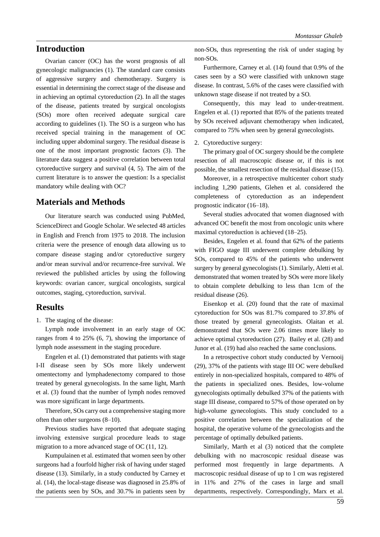## **Introduction**

Ovarian cancer (OC) has the worst prognosis of all gynecologic malignancies (1). The standard care consists of aggressive surgery and chemotherapy. Surgery is essential in determining the correct stage of the disease and in achieving an optimal cytoreduction (2). In all the stages of the disease, patients treated by surgical oncologists (SOs) more often received adequate surgical care according to guidelines (1). The SO is a surgeon who has received special training in the management of OC including upper abdominal surgery. The residual disease is one of the most important prognostic factors (3). The literature data suggest a positive correlation between total cytoreductive surgery and survival (4, 5). The aim of the current literature is to answer the question: Is a specialist mandatory while dealing with OC?

## **Materials and Methods**

Our literature search was conducted using PubMed, ScienceDirect and Google Scholar. We selected 48 articles in English and French from 1975 to 2018. The inclusion criteria were the presence of enough data allowing us to compare disease staging and/or cytoreductive surgery and/or mean survival and/or recurrence-free survival. We reviewed the published articles by using the following keywords: ovarian cancer, surgical oncologists, surgical outcomes, staging, cytoreduction, survival.

## **Results**

1. The staging of the disease:

Lymph node involvement in an early stage of OC ranges from 4 to 25% (6, 7), showing the importance of lymph node assessment in the staging procedure.

Engelen et al. (1) demonstrated that patients with stage I-II disease seen by SOs more likely underwent omentectomy and lymphadenectomy compared to those treated by general gynecologists. In the same light, Marth et al. (3) found that the number of lymph nodes removed was more significant in large departments.

Therefore, SOs carry out a comprehensive staging more often than other surgeons (8–10).

Previous studies have reported that adequate staging involving extensive surgical procedure leads to stage migration to a more advanced stage of OC (11, 12).

Kumpulainen et al. estimated that women seen by other surgeons had a fourfold higher risk of having under staged disease (13). Similarly, in a study conducted by Carney et al. (14), the local-stage disease was diagnosed in 25.8% of the patients seen by SOs, and 30.7% in patients seen by non-SOs, thus representing the risk of under staging by non-SOs.

Furthermore, Carney et al. (14) found that 0.9% of the cases seen by a SO were classified with unknown stage disease. In contrast, 5.6% of the cases were classified with unknown stage disease if not treated by a SO.

Consequently, this may lead to under-treatment. Engelen et al. (1) reported that 85% of the patients treated by SOs received adjuvant chemotherapy when indicated, compared to 75% when seen by general gynecologists.

2. Cytoreductive surgery:

The primary goal of OC surgery should be the complete resection of all macroscopic disease or, if this is not possible, the smallest resection of the residual disease (15).

Moreover, in a retrospective multicenter cohort study including 1,290 patients, Glehen et al. considered the completeness of cytoreduction as an independent prognostic indicator (16–18).

Several studies advocated that women diagnosed with advanced OC benefit the most from oncologic units where maximal cytoreduction is achieved (18–25).

Besides, Engelen et al. found that 62% of the patients with FIGO stage III underwent complete debulking by SOs, compared to 45% of the patients who underwent surgery by general gynecologists (1). Similarly, Aletti et al. demonstrated that women treated by SOs were more likely to obtain complete debulking to less than 1cm of the residual disease (26).

Eisenkop et al. (20) found that the rate of maximal cytoreduction for SOs was 81.7% compared to 37.8% of those treated by general gynecologists. Olaitan et al. demonstrated that SOs were 2.06 times more likely to achieve optimal cytoreduction (27). Bailey et al. (28) and Junor et al. (19) had also reached the same conclusions.

In a retrospective cohort study conducted by Vernooij (29), 37% of the patients with stage III OC were debulked entirely in non-specialized hospitals, compared to 48% of the patients in specialized ones. Besides, low-volume gynecologists optimally debulked 37% of the patients with stage III disease, compared to 57% of those operated on by high-volume gynecologists. This study concluded to a positive correlation between the specialization of the hospital, the operative volume of the gynecologists and the percentage of optimally debulked patients.

Similarly, Marth et al (3) noticed that the complete debulking with no macroscopic residual disease was performed most frequently in large departments. A macroscopic residual disease of up to 1 cm was registered in 11% and 27% of the cases in large and small departments, respectively. Correspondingly, Marx et al.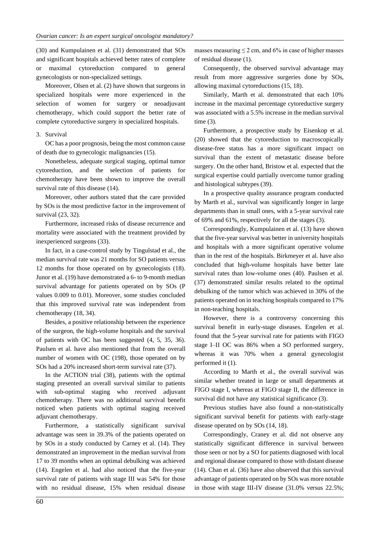(30) and Kumpulainen et al. (31) demonstrated that SOs and significant hospitals achieved better rates of complete or maximal cytoreduction compared to general gynecologists or non-specialized settings.

Moreover, Olsen et al. (2) have shown that surgeons in specialized hospitals were more experienced in the selection of women for surgery or neoadjuvant chemotherapy, which could support the better rate of complete cytoreductive surgery in specialized hospitals.

#### 3. Survival

OC has a poor prognosis, being the most common cause of death due to gynecologic malignancies (15).

Nonetheless, adequate surgical staging, optimal tumor cytoreduction, and the selection of patients for chemotherapy have been shown to improve the overall survival rate of this disease (14).

Moreover, other authors stated that the care provided by SOs is the most predictive factor in the improvement of survival (23, 32).

Furthermore, increased risks of disease recurrence and mortality were associated with the treatment provided by inexperienced surgeons (33).

In fact, in a case-control study by Tingulstad et al., the median survival rate was 21 months for SO patients versus 12 months for those operated on by gynecologists (18). Junor et al. (19) have demonstrated a 6- to 9-month median survival advantage for patients operated on by SOs (P values 0.009 to 0.01). Moreover, some studies concluded that this improved survival rate was independent from chemotherapy (18, 34).

Besides, a positive relationship between the experience of the surgeon, the high-volume hospitals and the survival of patients with OC has been suggested (4, 5, 35, 36). Paulsen et al. have also mentioned that from the overall number of women with OC (198), those operated on by SOs had a 20% increased short-term survival rate (37).

In the ACTION trial (38), patients with the optimal staging presented an overall survival similar to patients with sub-optimal staging who received adjuvant chemotherapy. There was no additional survival benefit noticed when patients with optimal staging received adjuvant chemotherapy.

Furthermore, a statistically significant survival advantage was seen in 39.3% of the patients operated on by SOs in a study conducted by Carney et al. (14). They demonstrated an improvement in the median survival from 17 to 39 months when an optimal debulking was achieved (14). Engelen et al. had also noticed that the five-year survival rate of patients with stage III was 54% for those with no residual disease, 15% when residual disease

masses measuring  $\leq 2$  cm, and 6% in case of higher masses of residual disease (1).

Consequently, the observed survival advantage may result from more aggressive surgeries done by SOs, allowing maximal cytoreductions (15, 18).

Similarly, Marth et al. demonstrated that each 10% increase in the maximal percentage cytoreductive surgery was associated with a 5.5% increase in the median survival time (3).

Furthermore, a prospective study by Eisenkop et al. (20) showed that the cytoreduction to macroscopically disease-free status has a more significant impact on survival than the extent of metastatic disease before surgery. On the other hand, Bristow et al. expected that the surgical expertise could partially overcome tumor grading and histological subtypes (39).

In a prospective quality assurance program conducted by Marth et al., survival was significantly longer in large departments than in small ones, with a 5-year survival rate of 69% and 61%, respectively for all the stages (3).

Correspondingly, Kumpulainen et al. (13) have shown that the five-year survival was better in university hospitals and hospitals with a more significant operative volume than in the rest of the hospitals. Birkmeyer et al. have also concluded that high-volume hospitals have better late survival rates than low-volume ones (40). Paulsen et al. (37) demonstrated similar results related to the optimal debulking of the tumor which was achieved in 30% of the patients operated on in teaching hospitals compared to 17% in non-teaching hospitals.

However, there is a controversy concerning this survival benefit in early-stage diseases. Engelen et al. found that the 5-year survival rate for patients with FIGO stage I–II OC was 86% when a SO performed surgery, whereas it was 70% when a general gynecologist performed it (1).

According to Marth et al., the overall survival was similar whether treated in large or small departments at FIGO stage I, whereas at FIGO stage II, the difference in survival did not have any statistical significance (3).

Previous studies have also found a non-statistically significant survival benefit for patients with early-stage disease operated on by SOs (14, 18).

Correspondingly, Craney et al. did not observe any statistically significant difference in survival between those seen or not by a SO for patients diagnosed with local and regional disease compared to those with distant disease (14). Chan et al. (36) have also observed that this survival advantage of patients operated on by SOs was more notable in those with stage III-IV disease (31.0% versus 22.5%;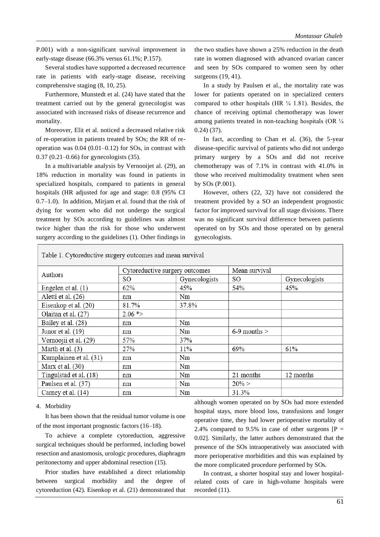P.001) with a non-significant survival improvement in early-stage disease (66.3% versus 61.1%; P.157).

Several studies have supported a decreased recurrence rate in patients with early-stage disease, receiving comprehensive staging (8, 10, 25).

Furthermore, Munstedt et al. (24) have stated that the treatment carried out by the general gynecologist was associated with increased risks of disease recurrence and mortality.

Moreover, Elit et al. noticed a decreased relative risk of re-operation in patients treated by SOs; the RR of reoperation was 0.04 (0.01–0.12) for SOs, in contrast with 0.37 (0.21–0.66) for gynecologists (35).

In a multivariable analysis by Vernooijet al. (29), an 18% reduction in mortality was found in patients in specialized hospitals, compared to patients in general hospitals (HR adjusted for age and stage: 0.8 (95% CI 0.7–1.0). In addition, Mirjam et al. found that the risk of dying for women who did not undergo the surgical treatment by SOs according to guidelines was almost twice higher than the risk for those who underwent surgery according to the guidelines (1). Other findings in

the two studies have shown a 25% reduction in the death rate in women diagnosed with advanced ovarian cancer and seen by SOs compared to women seen by other surgeons (19, 41).

In a study by Paulsen et al., the mortality rate was lower for patients operated on in specialized centers compared to other hospitals (HR  $\frac{1}{4}$  1.81). Besides, the chance of receiving optimal chemotherapy was lower among patients treated in non-teaching hospitals (OR ¼ 0.24) (37).

In fact, according to Chan et al. (36), the 5-year disease-specific survival of patients who did not undergo primary surgery by a SOs and did not receive chemotherapy was of 7.1% in contrast with 41.0% in those who received multimodality treatment when seen by SOs (P.001).

However, others (22, 32) have not considered the treatment provided by a SO an independent prognostic factor for improved survival for all stage divisions. There was no significant survival difference between patients operated on by SOs and those operated on by general gynecologists.

| Table 1. Cytoreductive surgery outcomes and mean survival |                                |               |                  |               |  |  |
|-----------------------------------------------------------|--------------------------------|---------------|------------------|---------------|--|--|
|                                                           | Cytoreductive surgery outcomes |               | Mean survival    |               |  |  |
| Authors                                                   | SO.                            | Gynecologists | SO.              | Gynecologists |  |  |
| Engelen et al. $(1)$                                      | 62%                            | 45%           | 54%              | 45%           |  |  |
| Aletti et al. (26)                                        | nm                             | Nm            |                  |               |  |  |
| Eisenkop et al. (20)                                      | 81.7%                          | 37.8%         |                  |               |  |  |
| Olaitan et al. (27)                                       | $2.06$ *>                      |               |                  |               |  |  |
| Bailey et al. (28)                                        | nm                             | Nm            |                  |               |  |  |
| Junor et al. $(19)$                                       | nm                             | Nm            | $6-9$ months $>$ |               |  |  |
| Vernoojii et al. (29)                                     | 57%                            | 37%           |                  |               |  |  |
| Marth et al. $(3)$                                        | 27%                            | 11%           | 69%              | 61%           |  |  |
| Kumplainen et al. (31)                                    | nm                             | Nm            |                  |               |  |  |
| Marx et al. (30)                                          | nm                             | Nm            |                  |               |  |  |
| Tingulstad et al. (18)                                    | nm                             | Nm            | 21 months        | 12 months     |  |  |
| Paulsen et al. (37)                                       | nm                             | Nm            | $20\% >$         |               |  |  |
| Carney et al. (14)                                        | nm                             | Nm            | 31.3%            |               |  |  |

#### 4. Morbidity

It has been shown that the residual tumor volume is one of the most important prognostic factors (16–18).

To achieve a complete cytoreduction, aggressive surgical techniques should be performed, including bowel resection and anastomosis, urologic procedures, diaphragm peritonectomy and upper abdominal resection (15).

Prior studies have established a direct relationship between surgical morbidity and the degree of cytoreduction (42). Eisenkop et al. (21) demonstrated that

although women operated on by SOs had more extended hospital stays, more blood loss, transfusions and longer operative time, they had lower perioperative mortality of 2.4% compared to 9.5% in case of other surgeons  $[P =$ 0.02]. Similarly, the latter authors demonstrated that the presence of the SOs intraoperatively was associated with more perioperative morbidities and this was explained by the more complicated procedure performed by SOs.

In contrast, a shorter hospital stay and lower hospitalrelated costs of care in high-volume hospitals were recorded (11).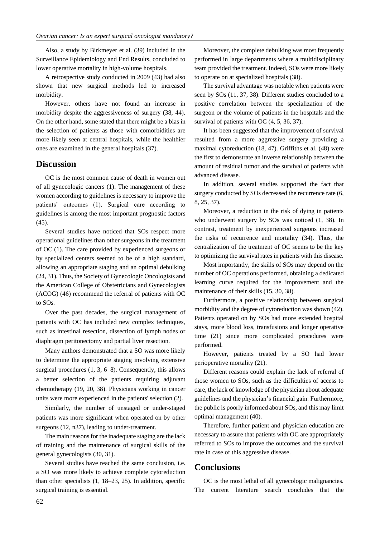Also, a study by Birkmeyer et al. (39) included in the Surveillance Epidemiology and End Results, concluded to lower operative mortality in high-volume hospitals.

A retrospective study conducted in 2009 (43) had also shown that new surgical methods led to increased morbidity.

However, others have not found an increase in morbidity despite the aggressiveness of surgery (38, 44). On the other hand, some stated that there might be a bias in the selection of patients as those with comorbidities are more likely seen at central hospitals, while the healthier ones are examined in the general hospitals (37).

## **Discussion**

OC is the most common cause of death in women out of all gynecologic cancers (1). The management of these women according to guidelines is necessary to improve the patients' outcomes (1). Surgical care according to guidelines is among the most important prognostic factors (45).

Several studies have noticed that SOs respect more operational guidelines than other surgeons in the treatment of OC (1). The care provided by experienced surgeons or by specialized centers seemed to be of a high standard, allowing an appropriate staging and an optimal debulking (24, 31). Thus, the Society of Gynecologic Oncologists and the American College of Obstetricians and Gynecologists (ACOG) (46) recommend the referral of patients with OC to SOs.

Over the past decades, the surgical management of patients with OC has included new complex techniques, such as intestinal resection, dissection of lymph nodes or diaphragm peritonectomy and partial liver resection.

Many authors demonstrated that a SO was more likely to determine the appropriate staging involving extensive surgical procedures (1, 3, 6–8). Consequently, this allows a better selection of the patients requiring adjuvant chemotherapy (19, 20, 38). Physicians working in cancer units were more experienced in the patients' selection (2).

Similarly, the number of unstaged or under-staged patients was more significant when operated on by other surgeons (12, n37), leading to under-treatment.

The main reasons for the inadequate staging are the lack of training and the maintenance of surgical skills of the general gynecologists (30, 31).

Several studies have reached the same conclusion, i.e. a SO was more likely to achieve complete cytoreduction than other specialists (1, 18–23, 25). In addition, specific surgical training is essential.

Moreover, the complete debulking was most frequently performed in large departments where a multidisciplinary team provided the treatment. Indeed, SOs were more likely to operate on at specialized hospitals (38).

The survival advantage was notable when patients were seen by SOs (11, 37, 38). Different studies concluded to a positive correlation between the specialization of the surgeon or the volume of patients in the hospitals and the survival of patients with OC  $(4, 5, 36, 37)$ .

It has been suggested that the improvement of survival resulted from a more aggressive surgery providing a maximal cytoreduction (18, 47). Griffiths et al. (48) were the first to demonstrate an inverse relationship between the amount of residual tumor and the survival of patients with advanced disease.

In addition, several studies supported the fact that surgery conducted by SOs decreased the recurrence rate (6, 8, 25, 37).

Moreover, a reduction in the risk of dying in patients who underwent surgery by SOs was noticed (1, 38). In contrast, treatment by inexperienced surgeons increased the risks of recurrence and mortality (34). Thus, the centralization of the treatment of OC seems to be the key to optimizing the survival rates in patients with this disease.

Most importantly, the skills of SOs may depend on the number of OC operations performed, obtaining a dedicated learning curve required for the improvement and the maintenance of their skills (15, 30, 38).

Furthermore, a positive relationship between surgical morbidity and the degree of cytoreduction was shown (42). Patients operated on by SOs had more extended hospital stays, more blood loss, transfusions and longer operative time (21) since more complicated procedures were performed.

However, patients treated by a SO had lower perioperative mortality (21).

Different reasons could explain the lack of referral of those women to SOs, such as the difficulties of access to care, the lack of knowledge of the physician about adequate guidelines and the physician's financial gain. Furthermore, the public is poorly informed about SOs, and this may limit optimal management (40).

Therefore, further patient and physician education are necessary to assure that patients with OC are appropriately referred to SOs to improve the outcomes and the survival rate in case of this aggressive disease.

### **Conclusions**

OC is the most lethal of all gynecologic malignancies. The current literature search concludes that the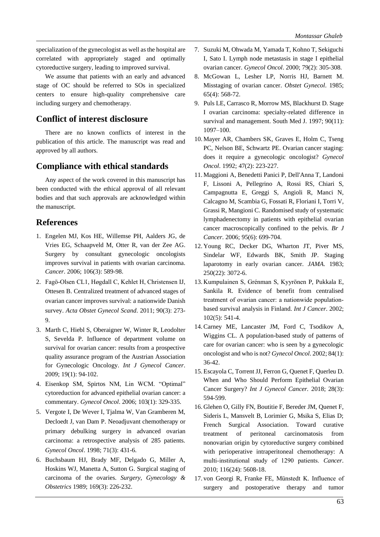specialization of the gynecologist as well as the hospital are correlated with appropriately staged and optimally cytoreductive surgery, leading to improved survival.

We assume that patients with an early and advanced stage of OC should be referred to SOs in specialized centers to ensure high-quality comprehensive care including surgery and chemotherapy.

## **Conflict of interest disclosure**

There are no known conflicts of interest in the publication of this article. The manuscript was read and approved by all authors.

## **Compliance with ethical standards**

Any aspect of the work covered in this manuscript has been conducted with the ethical approval of all relevant bodies and that such approvals are acknowledged within the manuscript.

## **References**

- 1. Engelen MJ, Kos HE, Willemse PH, Aalders JG, de Vries EG, Schaapveld M, Otter R, van der Zee AG. Surgery by consultant gynecologic oncologists improves survival in patients with ovarian carcinoma. *Cancer*. 2006; 106(3): 589-98.
- 2. Fagö-Olsen CL1, Høgdall C, Kehlet H, Christensen IJ, Ottesen B. Centralized treatment of advanced stages of ovarian cancer improves survival: a nationwide Danish survey. *Acta Obstet Gynecol Scand*. 2011; 90(3): 273- 9.
- 3. Marth C, Hiebl S, Oberaigner W, Winter R, Leodolter S, Sevelda P. Influence of department volume on survival for ovarian cancer: results from a prospective quality assurance program of the Austrian Association for Gynecologic Oncology. *Int J Gynecol Cancer*. 2009; 19(1): 94-102.
- 4. Eisenkop SM, Spirtos NM, Lin WCM. "Optimal" cytoreduction for advanced epithelial ovarian cancer: a commentary. *Gynecol Oncol*. 2006; 103(1): 329-335.
- 5. Vergote I, De Wever I, Tjalma W, Van Gramberen M, Decloedt J, van Dam P. Neoadjuvant chemotherapy or primary debulking surgery in advanced ovarian carcinoma: a retrospective analysis of 285 patients. *Gynecol Oncol*. 1998; 71(3): 431-6.
- 6. Buchsbaum HJ, Brady MF, Delgado G, Miller A, Hoskins WJ, Manetta A, Sutton G. Surgical staging of carcinoma of the ovaries. *Surgery, Gynecology & Obstetrics* 1989; 169(3): 226-232.
- 7. Suzuki M, Ohwada M, Yamada T, Kohno T, Sekiguchi I, Sato I. Lymph node metastasis in stage I epithelial ovarian cancer. *Gynecol Oncol*. 2000; 79(2): 305-308.
- 8. McGowan L, Lesher LP, Norris HJ, Barnett M. Misstaging of ovarian cancer. *Obstet Gynecol*. 1985; 65(4): 568-72.
- 9. Puls LE, Carrasco R, Morrow MS, Blackhurst D. Stage I ovarian carcinoma: specialty-related difference in survival and management. South Med J. 1997; 90(11): 1097–100.
- 10. Mayer AR, Chambers SK, Graves E, Holm C, Tseng PC, Nelson BE, Schwartz PE. Ovarian cancer staging: does it require a gynecologic oncologist? *Gynecol Oncol*. 1992; 47(2): 223-227.
- 11. Maggioni A, Benedetti Panici P, Dell'Anna T, Landoni F, Lissoni A, Pellegrino A, Rossi RS, Chiari S, Campagnutta E, Greggi S, Angioli R, Manci N, Calcagno M, Scambia G, Fossati R, Floriani I, Torri V, Grassi R, Mangioni C. Randomised study of systematic lymphadenectomy in patients with epithelial ovarian cancer macroscopically confined to the pelvis. *Br J Cancer*. 2006; 95(6): 699-704.
- 12. Young RC, Decker DG, Wharton JT, Piver MS, Sindelar WF, Edwards BK, Smith JP. Staging laparotomy in early ovarian cancer. *JAMA*. 1983; 250(22): 3072-6.
- 13. Kumpulainen S, Grénman S, Kyyrönen P, Pukkala E, Sankila R. Evidence of benefit from centralised treatment of ovarian cancer: a nationwide population‐ based survival analysis in Finland. *Int J Cancer*. 2002; 102(5): 541-4.
- 14. Carney ME, Lancaster JM, Ford C, Tsodikov A, Wiggins CL. A population-based study of patterns of care for ovarian cancer: who is seen by a gynecologic oncologist and who is not? *Gynecol Oncol*. 2002; 84(1): 36-42.
- 15. Escayola C, Torrent JJ, Ferron G, Quenet F, Querleu D. When and Who Should Perform Epithelial Ovarian Cancer Surgery? *Int J Gynecol Cancer.* 2018; 28(3): 594-599.
- 16. Glehen O, Gilly FN, Boutitie F, Bereder JM, Quenet F, Sideris L, Mansvelt B, Lorimier G, Msika S, Elias D; French Surgical Association. Toward curative treatment of peritoneal carcinomatosis from nonovarian origin by cytoreductive surgery combined with perioperative intraperitoneal chemotherapy: A multi‐institutional study of 1290 patients. *Cancer*. 2010; 116(24): 5608-18.
- 17. von Georgi R, Franke FE, Münstedt K. Influence of surgery and postoperative therapy and tumor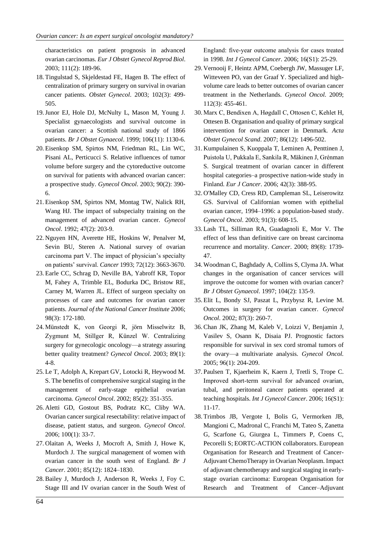characteristics on patient prognosis in advanced ovarian carcinomas. *Eur J Obstet Gynecol Reprod Biol*. 2003; 111(2): 189-96.

- 18. Tingulstad S, Skjeldestad FE, Hagen B. The effect of centralization of primary surgery on survival in ovarian cancer patients. *Obstet Gynecol*. 2003; 102(3): 499- 505.
- 19.Junor EJ, Hole DJ, McNulty L, Mason M, Young J. Specialist gynaecologists and survival outcome in ovarian cancer: a Scottish national study of 1866 patients. *Br J Obstet Gynaecol*. 1999; 106(11): 1130-6.
- 20. Eisenkop SM, Spirtos NM, Friedman RL, Lin WC, Pisani AL, Perticucci S. Relative influences of tumor volume before surgery and the cytoreductive outcome on survival for patients with advanced ovarian cancer: a prospective study. *Gynecol Oncol*. 2003; 90(2): 390- 6.
- 21. Eisenkop SM, Spirtos NM, Montag TW, Nalick RH, Wang HJ. The impact of subspecialty training on the management of advanced ovarian cancer. *Gynecol Oncol*. 1992; 47(2): 203-9.
- 22. Nguyen HN, Averette HE, Hoskins W, Penalver M, Sevin BU, Steren A. National survey of ovarian carcinoma part V. The impact of physician's specialty on patients' survival. *Cancer* 1993; 72(12): 3663-3670.
- 23. Earle CC, Schrag D, Neville BA, Yabroff KR, Topor M, Fahey A, Trimble EL, Bodurka DC, Bristow RE, Carney M, Warren JL. Effect of surgeon specialty on processes of care and outcomes for ovarian cancer patients. *Journal of the National Cancer Institute* 2006; 98(3): 172-180.
- 24. Münstedt K, von Georgi R, jörn Misselwitz B, Zygmunt M, Stillger R, Künzel W. Centralizing surgery for gynecologic oncology—a strategy assuring better quality treatment? *Gynecol Oncol*. 2003; 89(1): 4-8.
- 25. Le T, Adolph A, Krepart GV, Lotocki R, Heywood M. S. The benefits of comprehensive surgical staging in the management of early-stage epithelial ovarian carcinoma. *Gynecol Oncol*. 2002; 85(2): 351-355.
- 26. Aletti GD, Gostout BS, Podratz KC, Cliby WA. Ovarian cancer surgical resectability: relative impact of disease, patient status, and surgeon. *Gynecol Oncol*. 2006; 100(1): 33-7.
- 27. Olaitan A, Weeks J, Mocroft A, Smith J, Howe K, Murdoch J. The surgical management of women with ovarian cancer in the south west of England. *Br J Cancer*. 2001; 85(12): 1824–1830.
- 28. Bailey J, Murdoch J, Anderson R, Weeks J, Foy C. Stage III and IV ovarian cancer in the South West of

England: five‐year outcome analysis for cases treated in 1998. *Int J Gynecol Cancer*. 2006; 16(S1): 25-29.

- 29. Vernooij F, Heintz APM, Coebergh JW, Massuger LF, Witteveen PO, van der Graaf Y. Specialized and highvolume care leads to better outcomes of ovarian cancer treatment in the Netherlands. *Gynecol Oncol*. 2009; 112(3): 455-461.
- 30. Marx C, Bendixen A, Høgdall C, Ottosen C, Kehlet H, Ottesen B. Organisation and quality of primary surgical intervention for ovarian cancer in Denmark. *Acta Obstet Gynecol Scand*. 2007; 86(12): 1496-502.
- 31. Kumpulainen S, Kuoppala T, Leminen A, Penttinen J, Puistola U, Pukkala E, Sankila R, Mäkinen J, Grénman S. Surgical treatment of ovarian cancer in different hospital categories–a prospective nation-wide study in Finland. *Eur J Cancer*. 2006; 42(3): 388-95.
- 32. O'Malley CD, Cress RD, Campleman SL, Leiserowitz GS. Survival of Californian women with epithelial ovarian cancer, 1994–1996: a population-based study. *Gynecol Oncol*. 2003; 91(3): 608-15.
- 33. Lash TL, Silliman RA, Guadagnoli E, Mor V. The effect of less than definitive care on breast carcinoma recurrence and mortality. *Cancer*. 2000; 89(8): 1739- 47.
- 34. Woodman C, Baghdady A, Collins S, Clyma JA. What changes in the organisation of cancer services will improve the outcome for women with ovarian cancer? *Br J Obstet Gynaecol*. 1997; 104(2): 135-9.
- 35. Elit L, Bondy SJ, Paszat L, Przybysz R, Levine M. Outcomes in surgery for ovarian cancer. *Gynecol Oncol*. 2002; 87(3): 260-7.
- 36. Chan JK, Zhang M, Kaleb V, Loizzi V, Benjamin J, Vasilev S, Osann K, Disaia PJ. Prognostic factors responsible for survival in sex cord stromal tumors of the ovary—a multivariate analysis. *Gynecol Oncol.* 2005; 96(1): 204-209.
- 37.Paulsen T, Kjaerheim K, Kaern J, Tretli S, Trope C. Improved short‐term survival for advanced ovarian, tubal, and peritoneal cancer patients operated at teaching hospitals. *Int J Gynecol Cancer*. 2006; 16(S1): 11-17.
- 38. Trimbos JB, Vergote I, Bolis G, Vermorken JB, Mangioni C, Madronal C, Franchi M, Tateo S, Zanetta G, Scarfone G, Giurgea L, Timmers P, Coens C, Pecorelli S; EORTC-ACTION collaborators. European Organisation for Research and Treatment of Cancer-Adjuvant ChemoTherapy in Ovarian Neoplasm. Impact of adjuvant chemotherapy and surgical staging in earlystage ovarian carcinoma: European Organisation for Research and Treatment of Cancer–Adjuvant